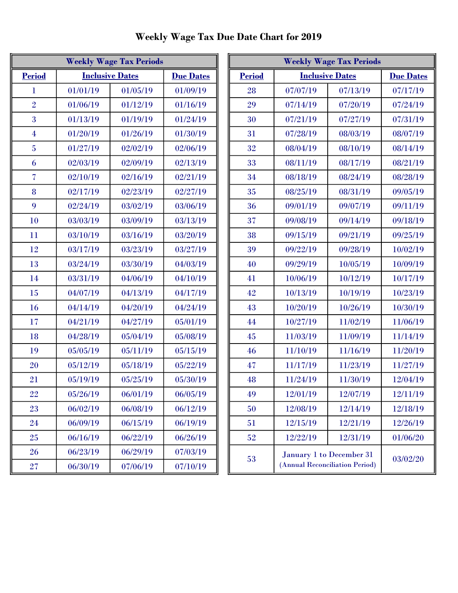| <b>Weekly Wage Tax Periods</b> |                        |                  |          |  |
|--------------------------------|------------------------|------------------|----------|--|
| <b>Period</b>                  | <b>Inclusive Dates</b> | <b>Due Dates</b> |          |  |
| 1                              | 01/01/19               | 01/05/19         | 01/09/19 |  |
| $\overline{2}$                 | 01/06/19               | 01/12/19         | 01/16/19 |  |
| 3                              | 01/13/19               | 01/19/19         | 01/24/19 |  |
| $\overline{4}$                 | 01/20/19               | 01/26/19         | 01/30/19 |  |
| $\overline{5}$                 | 01/27/19               | 02/02/19         | 02/06/19 |  |
| 6                              | 02/03/19               | 02/09/19         | 02/13/19 |  |
| 7                              | 02/10/19               | 02/16/19         | 02/21/19 |  |
| 8                              | 02/17/19               | 02/23/19         | 02/27/19 |  |
| 9                              | 02/24/19               | 03/02/19         | 03/06/19 |  |
| 10                             | 03/03/19               | 03/09/19         | 03/13/19 |  |
| 11                             | 03/10/19               | 03/16/19         | 03/20/19 |  |
| 12                             | 03/17/19               | 03/23/19         | 03/27/19 |  |
| 13                             | 03/24/19               | 03/30/19         | 04/03/19 |  |
| 14                             | 03/31/19               | 04/06/19         | 04/10/19 |  |
| 15                             | 04/07/19               | 04/13/19         | 04/17/19 |  |
| 16                             | 04/14/19               | 04/20/19         | 04/24/19 |  |
| 17                             | 04/21/19               | 04/27/19         | 05/01/19 |  |
| 18                             | 04/28/19               | 05/04/19         | 05/08/19 |  |
| 19                             | 05/05/19               | 05/11/19         | 05/15/19 |  |
| 20                             | 05/12/19               | 05/18/19         | 05/22/19 |  |
| 21                             | 05/19/19               | 05/25/19         | 05/30/19 |  |
| 22                             | 05/26/19               | 06/01/19         | 06/05/19 |  |
| 23                             | 06/02/19               | 06/08/19         | 06/12/19 |  |
| 24                             | 06/09/19               | 06/15/19         | 06/19/19 |  |
| 25                             | 06/16/19               | 06/22/19         | 06/26/19 |  |
| 26                             | 06/23/19               | 06/29/19         | 07/03/19 |  |
| 27                             | 06/30/19               | 07/06/19         | 07/10/19 |  |

| <b>Weekly Wage Tax Periods</b> |                        | <b>Weekly Wage Tax Periods</b> |                  |                                         |                                |                          |          |
|--------------------------------|------------------------|--------------------------------|------------------|-----------------------------------------|--------------------------------|--------------------------|----------|
| <b>Period</b>                  | <b>Inclusive Dates</b> |                                | <b>Due Dates</b> | <b>Period</b><br><b>Inclusive Dates</b> |                                | <b>Due Dates</b>         |          |
| 1                              | 01/01/19               | 01/05/19                       | 01/09/19         | 28                                      | 07/07/19                       | 07/13/19                 | 07/17/19 |
| $\overline{2}$                 | 01/06/19               | 01/12/19                       | 01/16/19         | 29                                      | 07/14/19                       | 07/20/19                 | 07/24/19 |
| 3                              | 01/13/19               | 01/19/19                       | 01/24/19         | 30                                      | 07/21/19                       | 07/27/19                 | 07/31/19 |
| 4                              | 01/20/19               | 01/26/19                       | 01/30/19         | 31                                      | 07/28/19                       | 08/03/19                 | 08/07/19 |
| $\overline{5}$                 | 01/27/19               | 02/02/19                       | 02/06/19         | 32                                      | 08/04/19                       | 08/10/19                 | 08/14/19 |
| 6                              | 02/03/19               | 02/09/19                       | 02/13/19         | 33                                      | 08/11/19                       | 08/17/19                 | 08/21/19 |
| $\overline{\mathcal{U}}$       | 02/10/19               | 02/16/19                       | 02/21/19         | 34                                      | 08/18/19                       | 08/24/19                 | 08/28/19 |
| 8                              | 02/17/19               | 02/23/19                       | 02/27/19         | 35                                      | 08/25/19                       | 08/31/19                 | 09/05/19 |
| 9                              | 02/24/19               | 03/02/19                       | 03/06/19         | 36                                      | 09/01/19                       | 09/07/19                 | 09/11/19 |
| 10                             | 03/03/19               | 03/09/19                       | 03/13/19         | 37                                      | 09/08/19                       | 09/14/19                 | 09/18/19 |
| 11                             | 03/10/19               | 03/16/19                       | 03/20/19         | 38                                      | 09/15/19                       | 09/21/19                 | 09/25/19 |
| 12                             | 03/17/19               | 03/23/19                       | 03/27/19         | 39                                      | 09/22/19                       | 09/28/19                 | 10/02/19 |
| 13                             | 03/24/19               | 03/30/19                       | 04/03/19         | 40                                      | 09/29/19                       | 10/05/19                 | 10/09/19 |
| 14                             | 03/31/19               | 04/06/19                       | 04/10/19         | 41                                      | 10/06/19                       | 10/12/19                 | 10/17/19 |
| 15                             | 04/07/19               | 04/13/19                       | 04/17/19         | 42                                      | 10/13/19                       | 10/19/19                 | 10/23/19 |
| 16                             | 04/14/19               | 04/20/19                       | 04/24/19         | 43                                      | 10/20/19                       | 10/26/19                 | 10/30/19 |
| 17                             | 04/21/19               | 04/27/19                       | 05/01/19         | 44                                      | 10/27/19                       | 11/02/19                 | 11/06/19 |
| 18                             | 04/28/19               | 05/04/19                       | 05/08/19         | $45\,$                                  | 11/03/19                       | 11/09/19                 | 11/14/19 |
| 19                             | 05/05/19               | 05/11/19                       | 05/15/19         | 46                                      | 11/10/19                       | 11/16/19                 | 11/20/19 |
| 20                             | 05/12/19               | 05/18/19                       | 05/22/19         | 47                                      | 11/17/19                       | 11/23/19                 | 11/27/19 |
| 21                             | 05/19/19               | 05/25/19                       | 05/30/19         | 48                                      | 11/24/19                       | 11/30/19                 | 12/04/19 |
| 22                             | 05/26/19               | 06/01/19                       | 06/05/19         | 49                                      | 12/01/19                       | 12/07/19                 | 12/11/19 |
| 23                             | 06/02/19               | 06/08/19                       | 06/12/19         | 50                                      | 12/08/19                       | 12/14/19                 | 12/18/19 |
| 24                             | 06/09/19               | 06/15/19                       | 06/19/19         | 51                                      | 12/15/19                       | 12/21/19                 | 12/26/19 |
| 25                             | 06/16/19               | 06/22/19                       | 06/26/19         | 52                                      | 12/22/19                       | 12/31/19                 | 01/06/20 |
| 26                             | 06/23/19               | 06/29/19                       | 07/03/19         |                                         |                                | January 1 to December 31 |          |
| 27                             | 06/30/19               | 07/06/19                       | 07/10/19         | 53                                      | (Annual Reconciliation Period) |                          | 03/02/20 |

Weekly Wage Tax Due Date Chart for 2019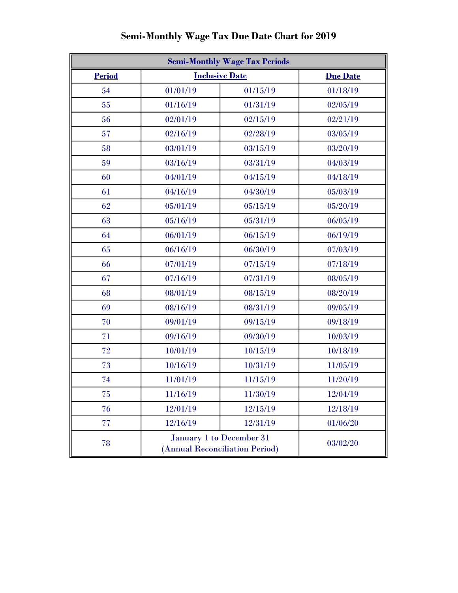| <b>Semi-Monthly Wage Tax Periods</b> |                                                            |                 |          |  |
|--------------------------------------|------------------------------------------------------------|-----------------|----------|--|
| <b>Period</b>                        | <b>Inclusive Date</b>                                      | <b>Due Date</b> |          |  |
| 54                                   | 01/01/19                                                   | 01/15/19        | 01/18/19 |  |
| 55                                   | 01/16/19                                                   | 01/31/19        | 02/05/19 |  |
| 56                                   | 02/01/19                                                   | 02/15/19        | 02/21/19 |  |
| 57                                   | 02/16/19                                                   | 02/28/19        | 03/05/19 |  |
| 58                                   | 03/01/19                                                   | 03/15/19        | 03/20/19 |  |
| 59                                   | 03/16/19                                                   | 03/31/19        | 04/03/19 |  |
| 60                                   | 04/01/19                                                   | 04/15/19        | 04/18/19 |  |
| 61                                   | 04/16/19                                                   | 04/30/19        | 05/03/19 |  |
| 62                                   | 05/01/19                                                   | 05/15/19        | 05/20/19 |  |
| 63                                   | 05/16/19                                                   | 05/31/19        | 06/05/19 |  |
| 64                                   | 06/01/19                                                   | 06/15/19        | 06/19/19 |  |
| 65                                   | 06/16/19                                                   | 06/30/19        | 07/03/19 |  |
| 66                                   | 07/01/19                                                   | 07/15/19        | 07/18/19 |  |
| 67                                   | 07/16/19                                                   | 07/31/19        | 08/05/19 |  |
| 68                                   | 08/01/19                                                   | 08/15/19        | 08/20/19 |  |
| 69                                   | 08/16/19                                                   | 08/31/19        |          |  |
| 70                                   | 09/01/19                                                   | 09/15/19        | 09/18/19 |  |
| 71                                   | 09/16/19                                                   | 09/30/19        | 10/03/19 |  |
| 72                                   | 10/01/19<br>10/15/19                                       |                 | 10/18/19 |  |
| 73                                   | 10/16/19<br>10/31/19                                       |                 | 11/05/19 |  |
| 74                                   | 11/01/19                                                   | 11/15/19        | 11/20/19 |  |
| 75                                   | 11/16/19                                                   | 11/30/19        | 12/04/19 |  |
| 76                                   | 12/01/19                                                   | 12/15/19        | 12/18/19 |  |
| 77                                   | 12/16/19                                                   | 12/31/19        | 01/06/20 |  |
| 78                                   | January 1 to December 31<br>(Annual Reconciliation Period) |                 | 03/02/20 |  |

## Semi-Monthly Wage Tax Due Date Chart for 2019